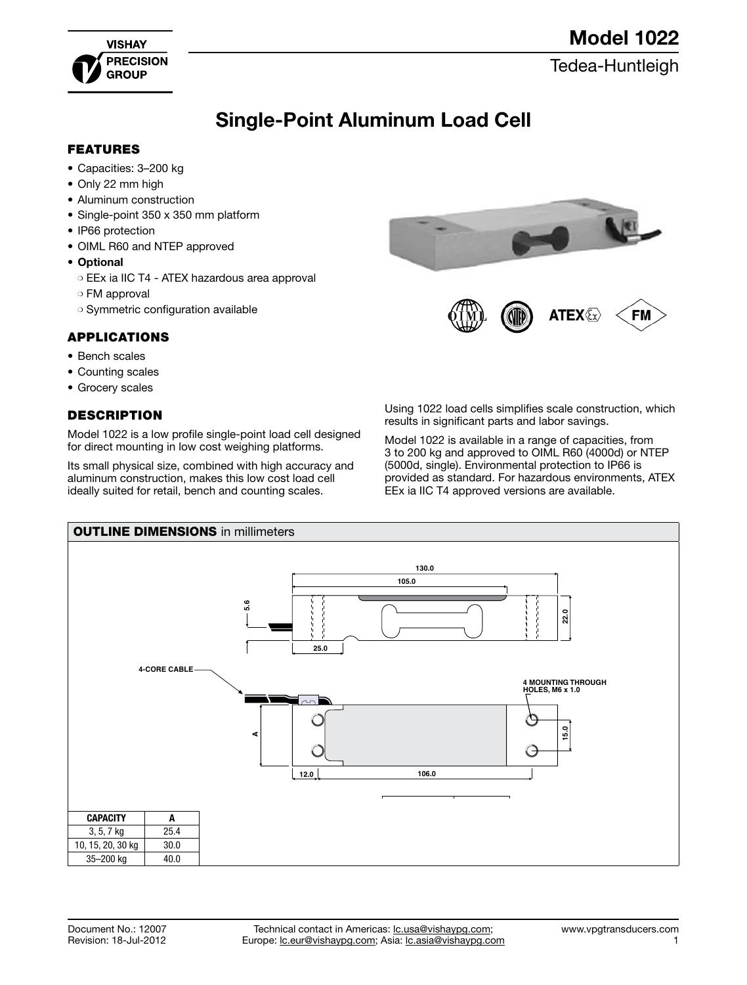

[Tedea-Huntleigh](http://www.vpgtransducers.com)

# Single-Point Aluminum Load Cell

#### FEATURES

- • Capacities: 3–200 kg
- Only 22 mm high
- Aluminum construction
- Single-point 350 x 350 mm platform
- IP66 protection
- OIML R60 and NTEP approved
- • Optional
	- ❍ EEx ia IIC T4 ATEX hazardous area approval
	- ❍ FM approval
	- ❍ Symmetric configuration available

#### APPLICATIONS

- • Bench scales
- Counting scales
- Grocery scales

### **DESCRIPTION**

Model 1022 is a low profile single-point load cell designed for direct mounting in low cost weighing platforms.

Its small physical size, combined with high accuracy and aluminum construction, makes this low cost load cell ideally suited for retail, bench and counting scales.



Using 1022 load cells simplifies scale construction, which results in significant parts and labor savings.

Model 1022 is available in a range of capacities, from 3 to 200 kg and approved to OIML R60 (4000d) or NTEP (5000d, single). Environmental protection to IP66 is provided as standard. For hazardous environments, ATEX EEx ia IIC T4 approved versions are available.